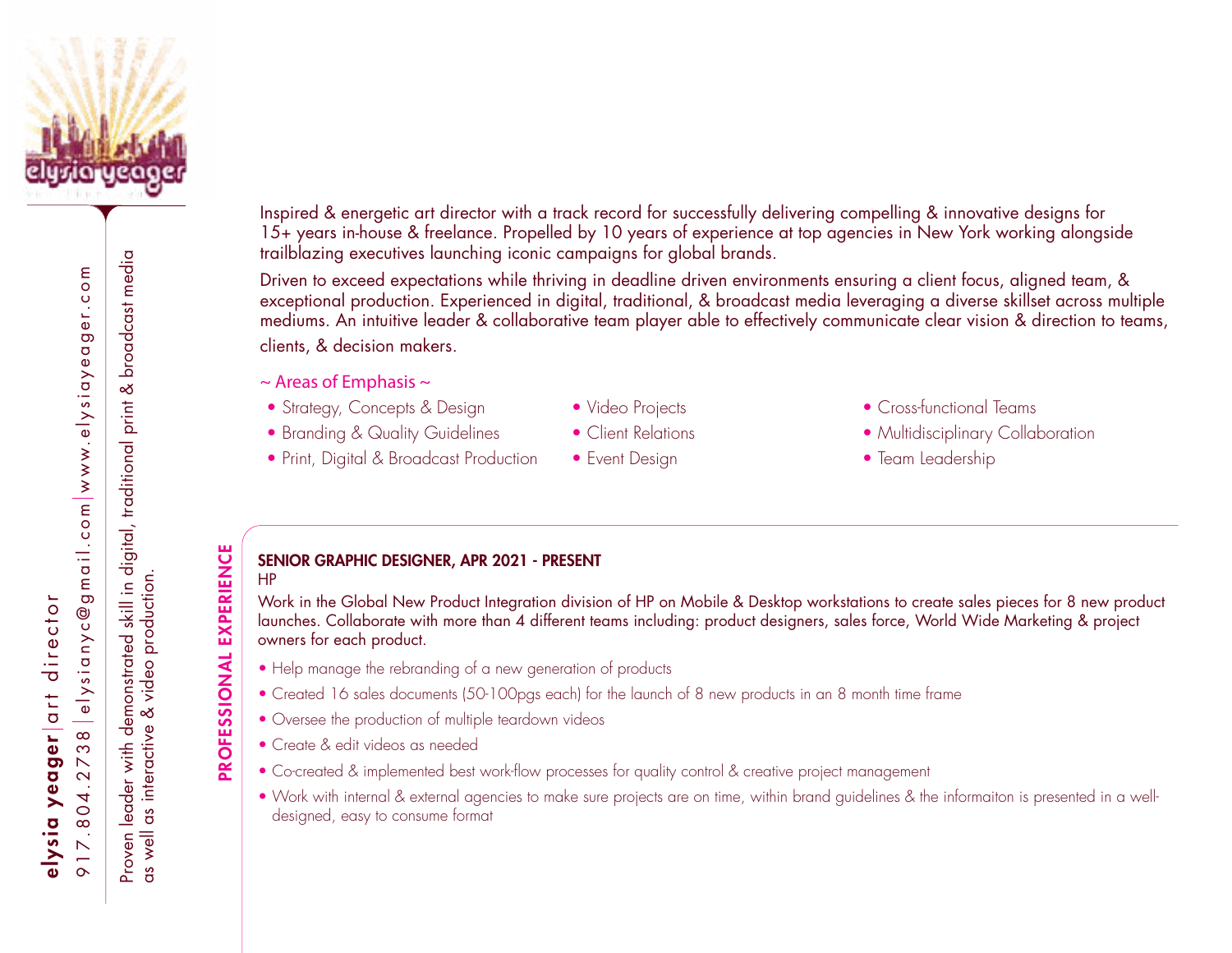

elysianyc@gmail.com|www.elysiayeager.com 917.804.2738 [elysianyc@gmail.com](mailto:elysianyc%40gmail.com?subject=) [www.elysiayeager.com](http://www.elysiayeager.com) elysia yeager art director art director  $\infty$ elysia yeager  $\infty$  $\overline{\phantom{a}}$  $\mathbf{\Omega}$  $\frac{1}{2}$  $7.8$ 

Proven leader with demonstrated skill in digital, traditional print & broadcast media & broadcast media Proven leader with demonstrated skill in digital, traditional print as well as interactive & video production. as well as interactive & video production.

**EXPERIENCE** PROFESSIONAL EXPERIENCE PROFESSIONAL Inspired & energetic art director with a track record for successfully delivering compelling & innovative designs for 15+ years in-house & freelance. Propelled by 10 years of experience at top agencies in New York working alongside trailblazing executives launching iconic campaigns for global brands.

Driven to exceed expectations while thriving in deadline driven environments ensuring a client focus, aligned team, & exceptional production. Experienced in digital, traditional, & broadcast media leveraging a diverse skillset across multiple mediums. An intuitive leader & collaborative team player able to effectively communicate clear vision & direction to teams, clients, & decision makers.

- $\sim$  Areas of Emphasis  $\sim$
- Strategy, Concepts & Design Video Projects Cross-functional Teams
- 
- Print, Digital & Broadcast Production Event Design Team Leadership
- 
- 
- 
- 
- Branding & Quality Guidelines Client Relations Multidisciplinary Collaboration
	-

#### SENIOR GRAPHIC DESIGNER, APR 2021 - PRESENT HP

Work in the Global New Product Integration division of HP on Mobile & Desktop workstations to create sales pieces for 8 new product launches. Collaborate with more than 4 different teams including: product designers, sales force, World Wide Marketing & project owners for each product.

- Help manage the rebranding of a new generation of products
- Created 16 sales documents (50-100pgs each) for the launch of 8 new products in an 8 month time frame
- Oversee the production of multiple teardown videos
- Create & edit videos as needed
- Co-created & implemented best work-flow processes for quality control & creative project management
- Work with internal & external agencies to make sure projects are on time, within brand guidelines & the informaiton is presented in a welldesigned, easy to consume format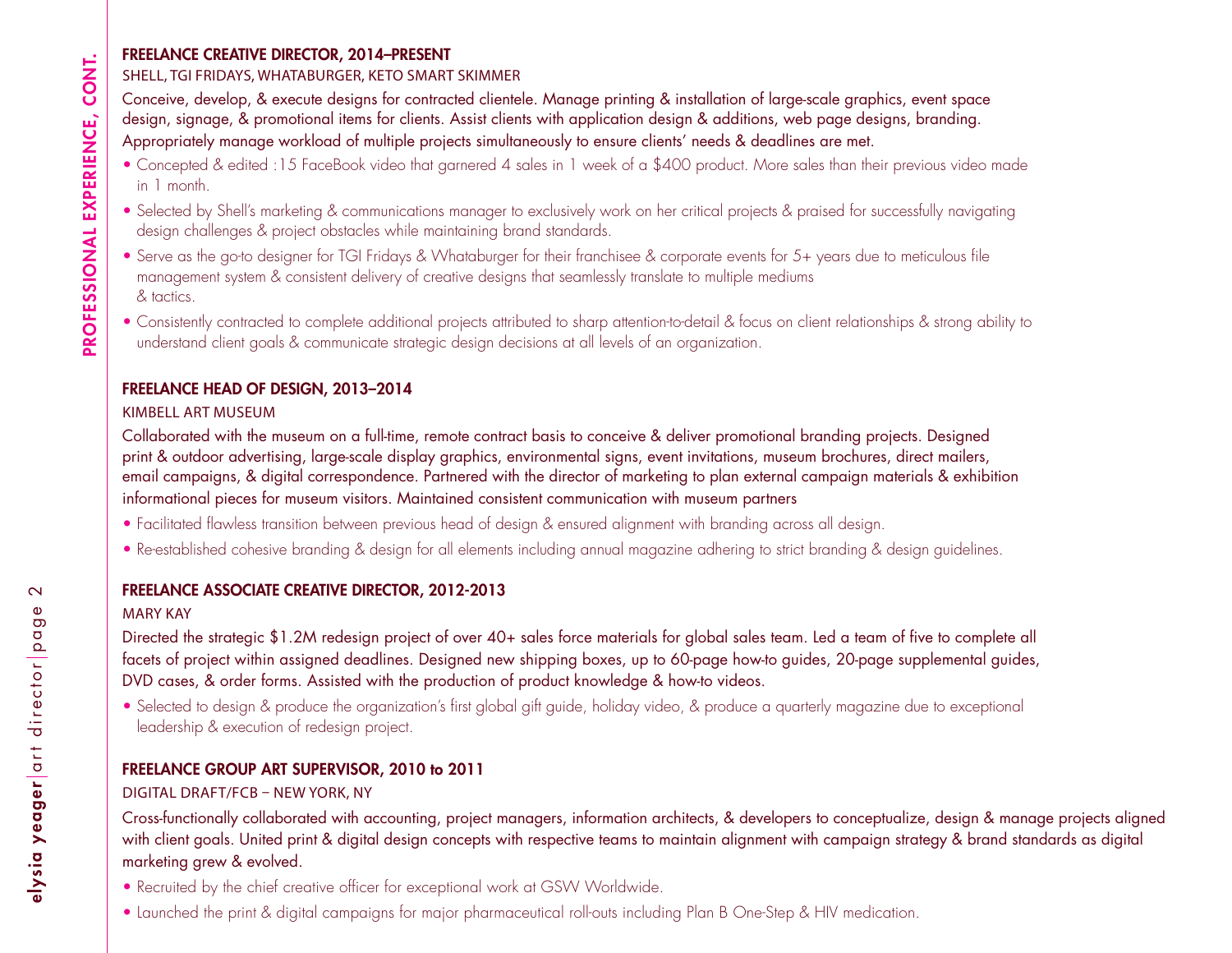#### FREELANCE CREATIVE DIRECTOR, 2014–PRESENT

### SHELL, TGI FRIDAYS, WHATABURGER, KETO SMART SKIMMER

Conceive, develop, & execute designs for contracted clientele. Manage printing & installation of large-scale graphics, event space design, signage, & promotional items for clients. Assist clients with application design & additions, web page designs, branding. Appropriately manage workload of multiple projects simultaneously to ensure clients' needs & deadlines are met.

- Concepted & edited :15 FaceBook video that garnered 4 sales in 1 week of a \$400 product. More sales than their previous video made in 1 month.
- Selected by Shell's marketing & communications manager to exclusively work on her critical projects & praised for successfully navigating design challenges & project obstacles while maintaining brand standards.
- Serve as the go-to designer for TGI Fridays & Whataburger for their franchisee & corporate events for 5+ years due to meticulous file management system & consistent delivery of creative designs that seamlessly translate to multiple mediums & tactics.
- Consistently contracted to complete additional projects attributed to sharp attention-to-detail & focus on client relationships & strong ability to understand client goals & communicate strategic design decisions at all levels of an organization.

### FREELANCE HEAD OF DESIGN, 2013–2014

### KIMBELL ART MUSEUM

Collaborated with the museum on a full-time, remote contract basis to conceive & deliver promotional branding projects. Designed print & outdoor advertising, large-scale display graphics, environmental signs, event invitations, museum brochures, direct mailers, email campaigns, & digital correspondence. Partnered with the director of marketing to plan external campaign materials & exhibition informational pieces for museum visitors. Maintained consistent communication with museum partners

- Facilitated flawless transition between previous head of design & ensured alignment with branding across all design.
- Re-established cohesive branding & design for all elements including annual magazine adhering to strict branding & design guidelines.

### FREELANCE ASSOCIATE CREATIVE DIRECTOR, 2012-2013

### MARY KAY

Directed the strategic \$1.2M redesign project of over 40+ sales force materials for global sales team. Led a team of five to complete all facets of project within assigned deadlines. Designed new shipping boxes, up to 60-page how-to guides, 20-page supplemental guides, DVD cases, & order forms. Assisted with the production of product knowledge & how-to videos.

• Selected to design & produce the organization's first global gift guide, holiday video, & produce a quarterly magazine due to exceptional leadership & execution of redesign project.

## FREELANCE GROUP ART SUPERVISOR, 2010 to 2011

## DIGITAL DRAFT/FCB – NEW YORK, NY

Cross-functionally collaborated with accounting, project managers, information architects, & developers to conceptualize, design & manage projects aligned with client goals. United print & digital design concepts with respective teams to maintain alignment with campaign strategy & brand standards as digital marketing grew & evolved.

- Recruited by the chief creative officer for exceptional work at GSW Worldwide.
- Launched the print & digital campaigns for major pharmaceutical roll-outs including Plan B One-Step & HIV medication.